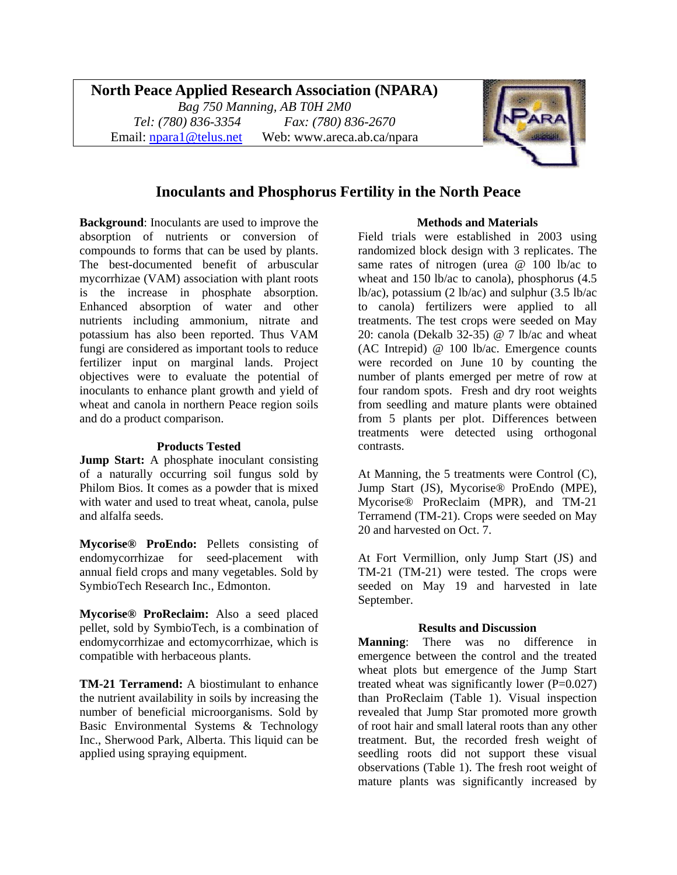# **North Peace Applied Research Association (NPARA)**

*Bag 750 Manning, AB T0H 2M0 Tel: (780) 836-3354 Fax: (780) 836-2670*  Email: [npara1@telus.net](mailto:npara1@telus.net) Web: www.areca.ab.ca/npara



# **Inoculants and Phosphorus Fertility in the North Peace**

**Background**: Inoculants are used to improve the absorption of nutrients or conversion of compounds to forms that can be used by plants. The best-documented benefit of arbuscular mycorrhizae (VAM) association with plant roots is the increase in phosphate absorption. Enhanced absorption of water and other nutrients including ammonium, nitrate and potassium has also been reported. Thus VAM fungi are considered as important tools to reduce fertilizer input on marginal lands. Project objectives were to evaluate the potential of inoculants to enhance plant growth and yield of wheat and canola in northern Peace region soils and do a product comparison.

### **Products Tested**

**Jump Start:** A phosphate inoculant consisting of a naturally occurring soil fungus sold by Philom Bios. It comes as a powder that is mixed with water and used to treat wheat, canola, pulse and alfalfa seeds.

**Mycorise® ProEndo:** Pellets consisting of endomycorrhizae for seed-placement with annual field crops and many vegetables. Sold by SymbioTech Research Inc., Edmonton.

**Mycorise® ProReclaim:** Also a seed placed pellet, sold by SymbioTech, is a combination of endomycorrhizae and ectomycorrhizae, which is compatible with herbaceous plants.

**TM-21 Terramend:** A biostimulant to enhance the nutrient availability in soils by increasing the number of beneficial microorganisms. Sold by Basic Environmental Systems & Technology Inc., Sherwood Park, Alberta. This liquid can be applied using spraying equipment.

#### **Methods and Materials**

Field trials were established in 2003 using randomized block design with 3 replicates. The same rates of nitrogen (urea @ 100 lb/ac to wheat and 150 lb/ac to canola), phosphorus (4.5 lb/ac), potassium (2 lb/ac) and sulphur (3.5 lb/ac to canola) fertilizers were applied to all treatments. The test crops were seeded on May 20: canola (Dekalb  $32-35$ ) @ 7 lb/ac and wheat (AC Intrepid) @ 100 lb/ac. Emergence counts were recorded on June 10 by counting the number of plants emerged per metre of row at four random spots. Fresh and dry root weights from seedling and mature plants were obtained from 5 plants per plot. Differences between treatments were detected using orthogonal contrasts.

At Manning, the 5 treatments were Control (C), Jump Start (JS), Mycorise® ProEndo (MPE), Mycorise® ProReclaim (MPR), and TM-21 Terramend (TM-21). Crops were seeded on May 20 and harvested on Oct. 7.

At Fort Vermillion, only Jump Start (JS) and TM-21 (TM-21) were tested. The crops were seeded on May 19 and harvested in late September.

### **Results and Discussion**

**Manning**: There was no difference in emergence between the control and the treated wheat plots but emergence of the Jump Start treated wheat was significantly lower  $(P=0.027)$ than ProReclaim (Table 1). Visual inspection revealed that Jump Star promoted more growth of root hair and small lateral roots than any other treatment. But, the recorded fresh weight of seedling roots did not support these visual observations (Table 1). The fresh root weight of mature plants was significantly increased by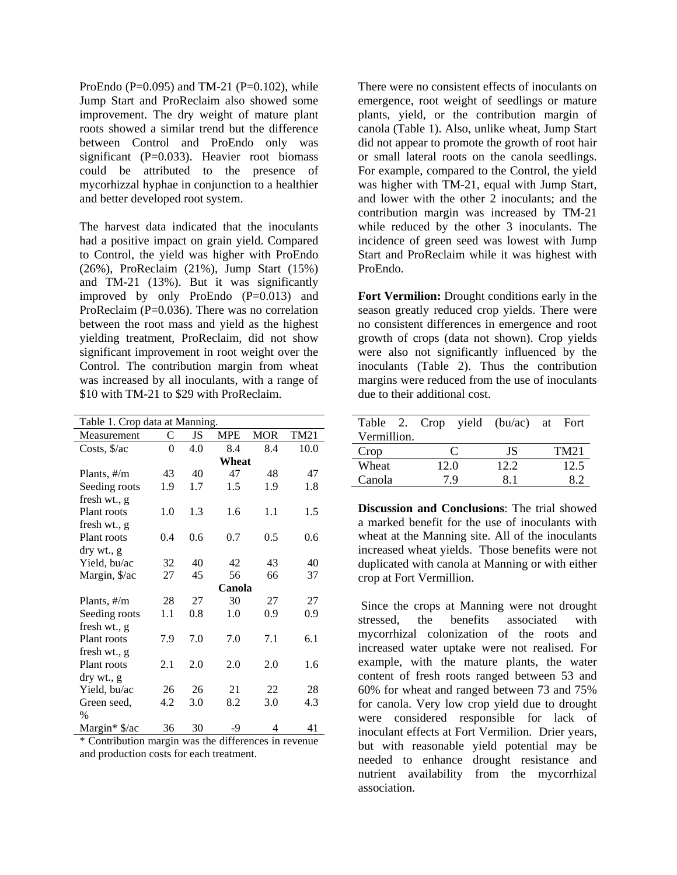ProEndo (P=0.095) and TM-21 (P=0.102), while Jump Start and ProReclaim also showed some improvement. The dry weight of mature plant roots showed a similar trend but the difference between Control and ProEndo only was significant (P=0.033). Heavier root biomass could be attributed to the presence of mycorhizzal hyphae in conjunction to a healthier and better developed root system.

The harvest data indicated that the inoculants had a positive impact on grain yield. Compared to Control, the yield was higher with ProEndo (26%), ProReclaim (21%), Jump Start (15%) and TM-21 (13%). But it was significantly improved by only ProEndo  $(P=0.013)$  and ProReclaim (P=0.036). There was no correlation between the root mass and yield as the highest yielding treatment, ProReclaim, did not show significant improvement in root weight over the Control. The contribution margin from wheat was increased by all inoculants, with a range of \$10 with TM-21 to \$29 with ProReclaim.

| Table 1. Crop data at Manning. |                |     |            |            |             |  |  |  |
|--------------------------------|----------------|-----|------------|------------|-------------|--|--|--|
| Measurement                    | C              | JS  | <b>MPE</b> | <b>MOR</b> | <b>TM21</b> |  |  |  |
| Costs, \$/ac                   | $\overline{0}$ | 4.0 | 8.4        | 8.4        | 10.0        |  |  |  |
|                                | Wheat          |     |            |            |             |  |  |  |
| Plants, #/m                    | 43             | 40  | 47         | 48         | 47          |  |  |  |
| Seeding roots                  | 1.9            | 1.7 | 1.5        | 1.9        | 1.8         |  |  |  |
| fresh wt., g                   |                |     |            |            |             |  |  |  |
| Plant roots                    | 1.0            | 1.3 | 1.6        | 1.1        | 1.5         |  |  |  |
| fresh wt., g                   |                |     |            |            |             |  |  |  |
| Plant roots                    | 0.4            | 0.6 | 0.7        | 0.5        | 0.6         |  |  |  |
| dry wt., g                     |                |     |            |            |             |  |  |  |
| Yield, bu/ac                   | 32             | 40  | 42         | 43         | 40          |  |  |  |
| Margin, \$/ac                  | 27             | 45  | 56         | 66         | 37          |  |  |  |
|                                | Canola         |     |            |            |             |  |  |  |
| Plants, #/m                    | 28             | 27  | 30         | 27         | 27          |  |  |  |
| Seeding roots                  | 1.1            | 0.8 | 1.0        | 0.9        | 0.9         |  |  |  |
| fresh wt., g                   |                |     |            |            |             |  |  |  |
| Plant roots                    | 7.9            | 7.0 | 7.0        | 7.1        | 6.1         |  |  |  |
| fresh wt., g                   |                |     |            |            |             |  |  |  |
| Plant roots                    | 2.1            | 2.0 | 2.0        | 2.0        | 1.6         |  |  |  |
| dry wt., g                     |                |     |            |            |             |  |  |  |
| Yield, bu/ac                   | 26             | 26  | 21         | 22         | 28          |  |  |  |
| Green seed,                    | 4.2            | 3.0 | 8.2        | 3.0        | 4.3         |  |  |  |
| $\%$                           |                |     |            |            |             |  |  |  |
| Margin* \$/ac                  | 36             | 30  | -9         | 4          | 41          |  |  |  |

\* Contribution margin was the differences in revenue and production costs for each treatment.

There were no consistent effects of inoculants on emergence, root weight of seedlings or mature plants, yield, or the contribution margin of canola (Table 1). Also, unlike wheat, Jump Start did not appear to promote the growth of root hair or small lateral roots on the canola seedlings. For example, compared to the Control, the yield was higher with TM-21, equal with Jump Start, and lower with the other 2 inoculants; and the contribution margin was increased by TM-21 while reduced by the other 3 inoculants. The incidence of green seed was lowest with Jump Start and ProReclaim while it was highest with ProEndo.

**Fort Vermilion:** Drought conditions early in the season greatly reduced crop yields. There were no consistent differences in emergence and root growth of crops (data not shown). Crop yields were also not significantly influenced by the inoculants (Table 2). Thus the contribution margins were reduced from the use of inoculants due to their additional cost.

| Table 2. Crop yield (bu/ac) at Fort |                         |  |      |      |      |
|-------------------------------------|-------------------------|--|------|------|------|
| Vermillion.                         |                         |  |      |      |      |
| Crop                                | $\mathbf{\mathfrak{c}}$ |  | JS   | TM21 |      |
| Wheat                               | 12.0                    |  | 12.2 |      | 12.5 |
| Canola                              | 7 Q                     |  | 81   |      | 82   |

**Discussion and Conclusions**: The trial showed a marked benefit for the use of inoculants with wheat at the Manning site. All of the inoculants increased wheat yields. Those benefits were not duplicated with canola at Manning or with either crop at Fort Vermillion.

 Since the crops at Manning were not drought stressed, the benefits associated with mycorrhizal colonization of the roots and increased water uptake were not realised. For example, with the mature plants, the water content of fresh roots ranged between 53 and 60% for wheat and ranged between 73 and 75% for canola. Very low crop yield due to drought were considered responsible for lack of inoculant effects at Fort Vermilion. Drier years, but with reasonable yield potential may be needed to enhance drought resistance and nutrient availability from the mycorrhizal association.